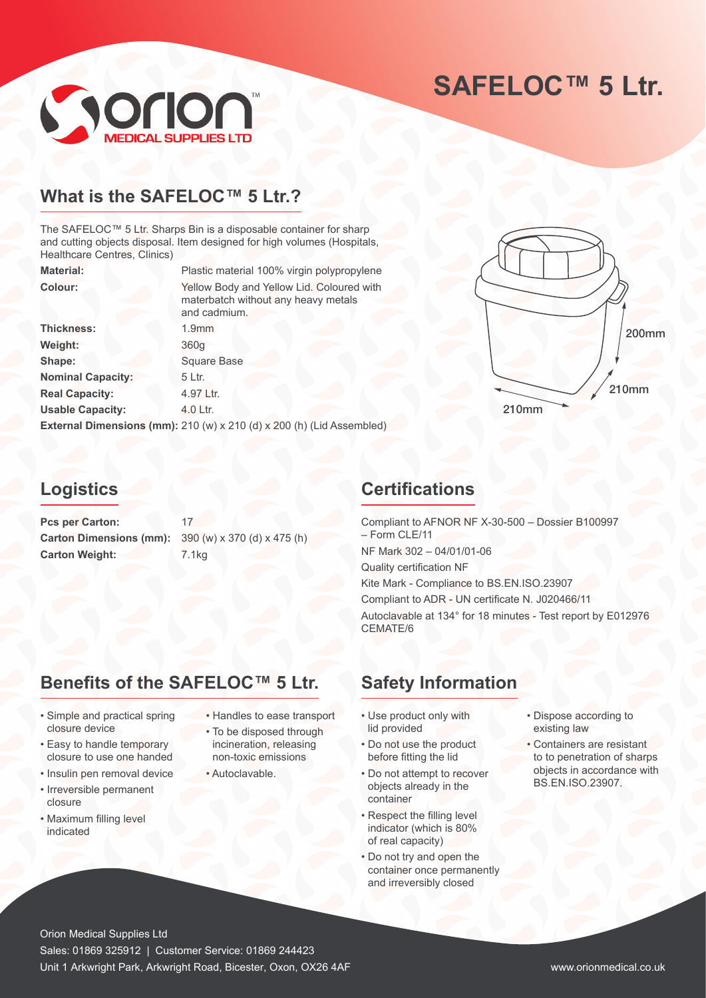# **SAFELOC™ 5 Ltr.**



# **What is the SAFELOC™ 5 Ltr.?**

The SAFELOC™ 5 Ltr. Sharps Bin is a disposable container for sharp and cutting objects disposal. Item designed for high volumes (Hospitals, Healthcare Centres, Clinics)

| <b>Material:</b>         | Plastic material 100% virgin polypropylene                                                       |
|--------------------------|--------------------------------------------------------------------------------------------------|
| Colour:                  | Yellow Body and Yellow Lid. Coloured with<br>materbatch without any heavy metals<br>and cadmium. |
| <b>Thickness:</b>        | 1.9 <sub>mm</sub>                                                                                |
| Weight:                  | 360 <sub>q</sub>                                                                                 |
| Shape:                   | <b>Square Base</b>                                                                               |
| <b>Nominal Capacity:</b> | 5 Ltr.                                                                                           |
| <b>Real Capacity:</b>    | 4.97 Ltr.                                                                                        |
| <b>Usable Capacity:</b>  | 4.0 Ltr.                                                                                         |
|                          | External Dimensions (mm): 210 (w) x 210 (d) x 200 (h) (Lid Assembled)                            |
|                          |                                                                                                  |



# **Logistics**

Pcs per Carton: 17 **Carton Dimensions (mm):** 390 (w) x 370 (d) x 475 (h) Carton Weight: 7.1kg

# **Certifications**

Compliant to AFNOR NF X-30-500 – Dossier B100997 – Form CLE/11 NF Mark 302 – 04/01/01-06 Quality certification NF Kite Mark - Compliance to BS.EN.ISO.23907 Compliant to ADR - UN certificate N. J020466/11 Autoclavable at 134° for 18 minutes - Test report by E012976 CEMATE/6

# **Benefits of the SAFELOC™ 5 Ltr.**

- Simple and practical spring closure device
- Easy to handle temporary closure to use one handed
- Insulin pen removal device
- Irreversible permanent closure
- Maximum filling level indicated
- Handles to ease transport
- To be disposed through incineration, releasing non-toxic emissions
- Autoclavable.

# **Safety Information**

- Use product only with lid provided
- Do not use the product before fitting the lid
- Do not attempt to recover objects already in the container
- Respect the filling level indicator (which is 80% of real capacity)
- Do not try and open the container once permanently and irreversibly closed
- Dispose according to existing law
- Containers are resistant to to penetration of sharps objects in accordance with BS.EN.ISO.23907.

Orion Medical Supplies Ltd Sales: 01869 325912 | Customer Service: 01869 244423 Unit 1 Arkwright Park, Arkwright Road, Bicester, Oxon, OX26 4AF www.orionmedical.co.uk